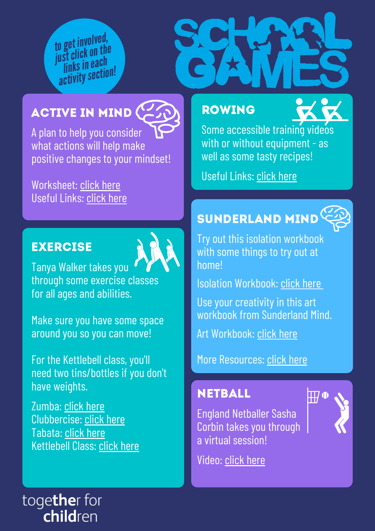to get involved, just click on the links in each activity section!



## ACTIVE IN MIND

A plan to help you consider what actions will help make positive changes to your mindset!

Worksheet: [click](https://www.dropbox.com/s/jpt90rlhpa1gkk8/MC%201%20YST-AIM-poster-.pdf?dl=0) here Useful Links: [click](https://www.dropbox.com/scl/fi/j48yp4iemt73yg42gu22m/MC-1-YST-Active-in-Mind-links.docx?dl=0&rlkey=1aorxm4pfdixter70f29fd67l) here

## **EXERCISE**



Tanya Walker takes you through some exercise classes for all ages and abilities.

Make sure you have some space around you so you can move!

For the Kettlebell class, you'll need two tins/bottles if you don't have weights.

Zumba: [click](https://youtu.be/JzcHn9euyUU) here Clubbercise: [click](https://youtu.be/AFEsOvmHf6k) here Tabata: [click](https://youtu.be/Y5NFGbBPDrw) here Kettlebell Class: [click](https://youtu.be/_YL7pHEE-es) here

together for<br>
children

## rowing

Some accessible training videos with or without equipment - as well as some tasty recipes!

Useful Links: [click](https://www.dropbox.com/scl/fi/6be4yp1ty14e2mb6lf0ai/MC-2-Rowing-Virtual-Health-and-Wellbeing-Event.docx?dl=0&rlkey=rj2rpv0laq586siz8svsonuv5) here

# sunderland mind



 $\mathop{\mathrm{I\mskip-4mu\hspace{-1.4pt}H}}\nolimits$  (ii

Try out this isolation workbook with some things to try out at home!

Isolation Workbook: [click](https://www.dropbox.com/s/5a5sk9v00jwalck/MC%204%20-%20Isolation%20Workbook.pdf?dl=0) here

Use your creativity in this art workbook from Sunderland Mind.

Art Workbook: [click](https://www.dropbox.com/scl/fi/oaffbdm9xskcw8t5ckr26/MC-4-ART-for-young-people-SUNDERLAND-MIND.pptx?dl=0&rlkey=vsyhsc921ozi1krf3meeenmtp) here

More Resources: [click](https://www.dropbox.com/scl/fi/psfur8ii9vnk8lvwh1vdg/MC-4-More-Resources.pptx?dl=0&rlkey=pa5v0l0f1lwhqc1pjs187bcgy) here

## **NETBALL**

England Netballer Sasha Corbin takes you through a virtual session!

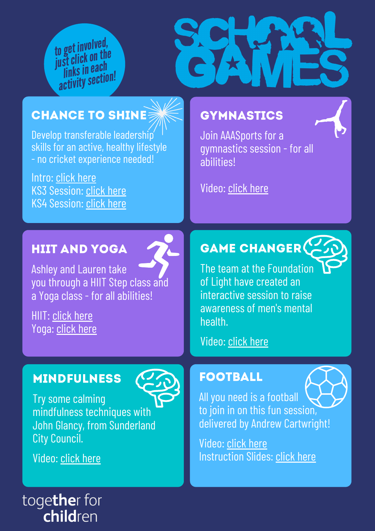to get involved, just click on the links in each activity section!



## chance to shine



Develop transferable leadership skills for an active, healthy lifestyle - no cricket experience needed!

Intro: [click](https://www.dropbox.com/s/n7g57rbbpga41qm/MC%207%20-%20DC%20Be%20the%20Spark%20-%20Virtual%20Leadership%20Programme%20%28Introduction%29.pdf?dl=0) here KS3 Session: [click](https://www.dropbox.com/scl/fi/ln15xnvnzsv7eaij0i6s9/MC-7-DC-Chance-to-Shine-KS3-Session-1.pptx?dl=0&rlkey=kzax43syod3wphz0r9f1bc46b) here KS4 Session: [click](https://www.dropbox.com/s/fscew5deuy0xu01/MC%207%20-%20DC%20Chance%20to%20Shine%20KS4%20Session%201.pptx?dl=0) here

## **GYMNASTICS**

Join AAASports for a gymnastics session - for all abilities!

Video: [click](https://vimeo.com/498623818/a2db59b452) here

#### HIIT AND YOGA

Ashley and Lauren take you through a HIIT Step class and a Yoga class - for all abilities!

HIIT: [click](https://youtu.be/eZM2gde6YaI) here Yoga: [click](https://youtu.be/SqB7jKwRyVU) here

# GAME CHANGER

The team at the Foundation of Light have created an interactive session to raise awareness of men's mental health.

#### Video: [click](https://youtu.be/J8-PdK9vVgg) here

## **FOOTBALL**



All you need is a football to join in on this fun session, delivered by Andrew Cartwright!

Video: [click](https://youtu.be/RbXyPBondHM) here Instruction Slides: [click](https://www.dropbox.com/s/sucau9yivpri256/MC%2011%20-%20ACFC%20Juggling%20Cards.pdf?dl=0) here

#### mindfulness



Try some calming mindfulness techniques with John Glancy, from Sunderland City Council.



## together for children